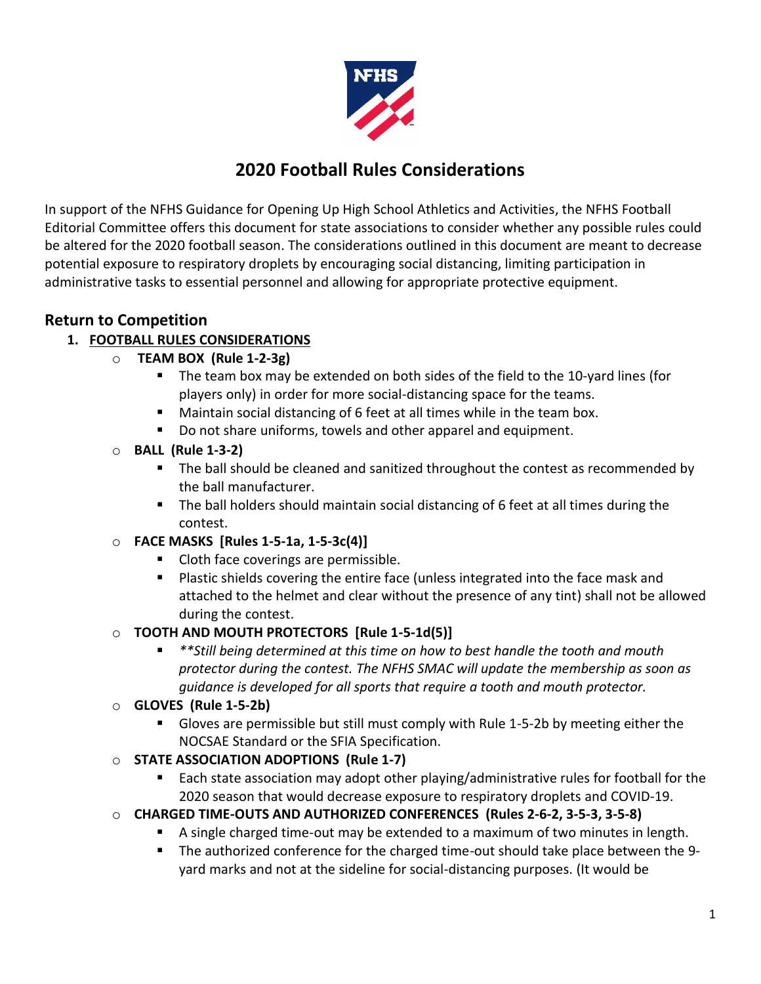

# **2020 Football Rules Considerations**

In support of the NFHS Guidance for Opening Up High School Athletics and Activities, the NFHS Football Editorial Committee offers this document for state associations to consider whether any possible rules could be altered for the 2020 football season. The considerations outlined in this document are meant to decrease potential exposure to respiratory droplets by encouraging social distancing, limiting participation in administrative tasks to essential personnel and allowing for appropriate protective equipment.

## **Return to Competition**

#### **1. FOOTBALL RULES CONSIDERATIONS**

- o **TEAM BOX (Rule 1-2-3g)**
	- The team box may be extended on both sides of the field to the 10-yard lines (for players only) in order for more social-distancing space for the teams.
	- Maintain social distancing of 6 feet at all times while in the team box.
	- Do not share uniforms, towels and other apparel and equipment.
- o **BALL (Rule 1-3-2)**
	- The ball should be cleaned and sanitized throughout the contest as recommended by the ball manufacturer.
	- The ball holders should maintain social distancing of 6 feet at all times during the contest.
- o **FACE MASKS [Rules 1-5-1a, 1-5-3c(4)]**
	- Cloth face coverings are permissible.
	- Plastic shields covering the entire face (unless integrated into the face mask and attached to the helmet and clear without the presence of any tint) shall not be allowed during the contest.

#### o **TOOTH AND MOUTH PROTECTORS [Rule 1-5-1d(5)]**

- \*\*Still being determined at this time on how to best handle the tooth and mouth *protector during the contest. The NFHS SMAC will update the membership as soon as guidance is developed for all sports that require a tooth and mouth protector.*
- o **GLOVES (Rule 1-5-2b)**
	- Gloves are permissible but still must comply with Rule 1-5-2b by meeting either the NOCSAE Standard or the SFIA Specification.
- o **STATE ASSOCIATION ADOPTIONS (Rule 1-7)**
	- Each state association may adopt other playing/administrative rules for football for the 2020 season that would decrease exposure to respiratory droplets and COVID-19.
- o **CHARGED TIME-OUTS AND AUTHORIZED CONFERENCES (Rules 2-6-2, 3-5-3, 3-5-8)**
	- A single charged time-out may be extended to a maximum of two minutes in length.
	- The authorized conference for the charged time-out should take place between the 9yard marks and not at the sideline for social-distancing purposes. (It would be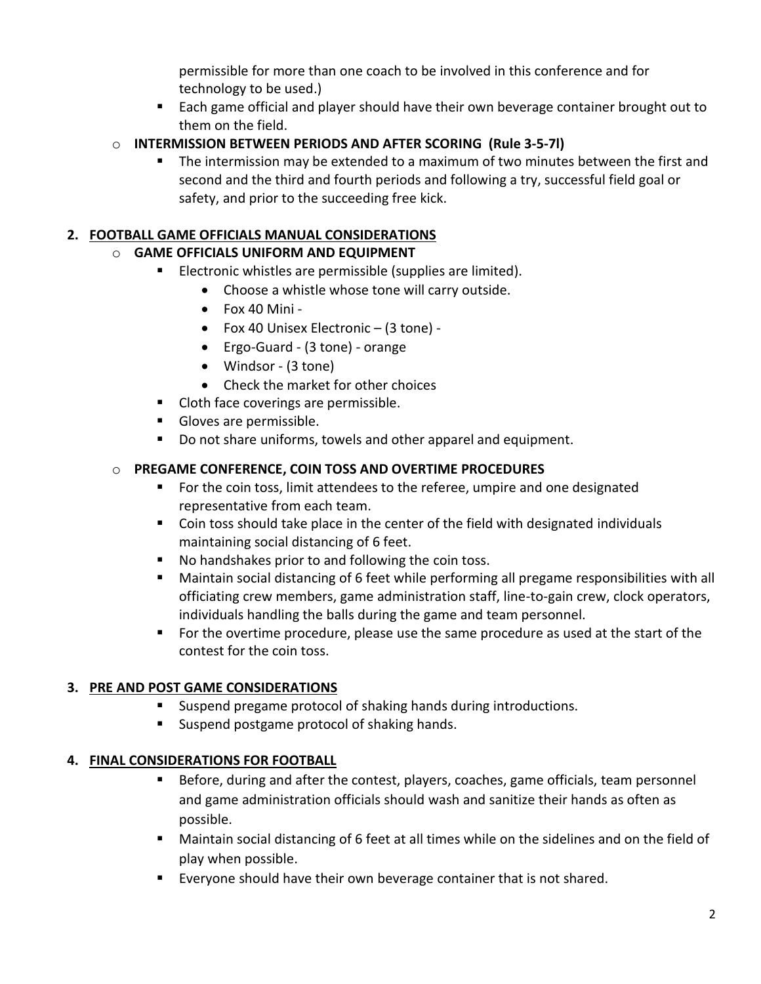permissible for more than one coach to be involved in this conference and for technology to be used.)

■ Each game official and player should have their own beverage container brought out to them on the field.

#### o **INTERMISSION BETWEEN PERIODS AND AFTER SCORING (Rule 3-5-7l)**

■ The intermission may be extended to a maximum of two minutes between the first and second and the third and fourth periods and following a try, successful field goal or safety, and prior to the succeeding free kick.

#### **2. FOOTBALL GAME OFFICIALS MANUAL CONSIDERATIONS**

#### o **GAME OFFICIALS UNIFORM AND EQUIPMENT**

- Electronic whistles are permissible (supplies are limited).
	- Choose a whistle whose tone will carry outside.
	- Fox 40 Mini -
	- Fox 40 Unisex Electronic (3 tone) -
	- Ergo-Guard (3 tone) orange
	- Windsor (3 tone)
	- Check the market for other choices
- Cloth face coverings are permissible.
- Gloves are permissible.
- Do not share uniforms, towels and other apparel and equipment.

#### o **PREGAME CONFERENCE, COIN TOSS AND OVERTIME PROCEDURES**

- For the coin toss, limit attendees to the referee, umpire and one designated representative from each team.
- Coin toss should take place in the center of the field with designated individuals maintaining social distancing of 6 feet.
- No handshakes prior to and following the coin toss.
- Maintain social distancing of 6 feet while performing all pregame responsibilities with all officiating crew members, game administration staff, line-to-gain crew, clock operators, individuals handling the balls during the game and team personnel.
- For the overtime procedure, please use the same procedure as used at the start of the contest for the coin toss.

### **3. PRE AND POST GAME CONSIDERATIONS**

- Suspend pregame protocol of shaking hands during introductions.
- Suspend postgame protocol of shaking hands.

### **4. FINAL CONSIDERATIONS FOR FOOTBALL**

- Before, during and after the contest, players, coaches, game officials, team personnel and game administration officials should wash and sanitize their hands as often as possible.
- Maintain social distancing of 6 feet at all times while on the sidelines and on the field of play when possible.
- Everyone should have their own beverage container that is not shared.